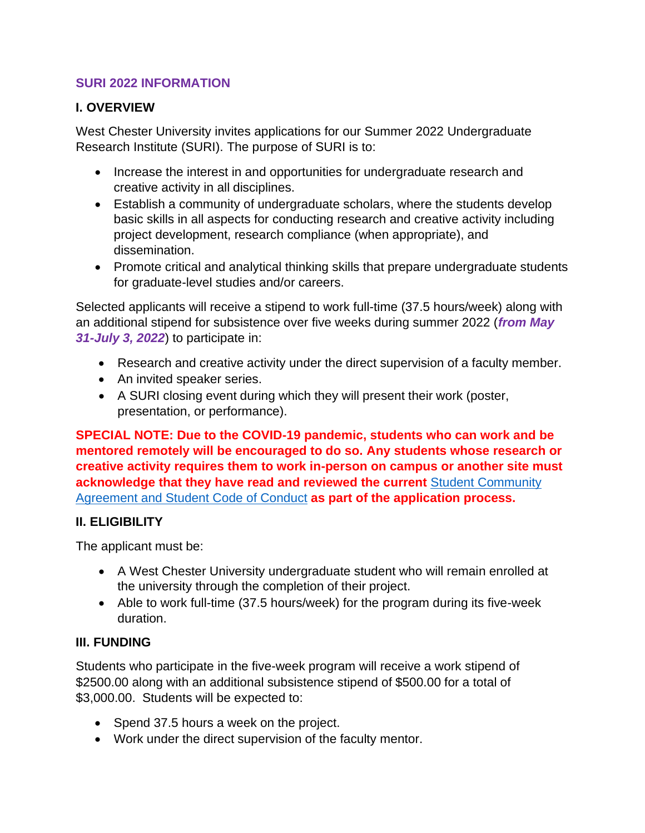### **SURI 2022 INFORMATION**

### **I. OVERVIEW**

West Chester University invites applications for our Summer 2022 Undergraduate Research Institute (SURI). The purpose of SURI is to:

- Increase the interest in and opportunities for undergraduate research and creative activity in all disciplines.
- Establish a community of undergraduate scholars, where the students develop basic skills in all aspects for conducting research and creative activity including project development, research compliance (when appropriate), and dissemination.
- Promote critical and analytical thinking skills that prepare undergraduate students for graduate-level studies and/or careers.

Selected applicants will receive a stipend to work full-time (37.5 hours/week) along with an additional stipend for subsistence over five weeks during summer 2022 (*from May 31-July 3, 2022*) to participate in:

- Research and creative activity under the direct supervision of a faculty member.
- An invited speaker series.
- A SURI closing event during which they will present their work (poster, presentation, or performance).

**SPECIAL NOTE: Due to the COVID-19 pandemic, students who can work and be mentored remotely will be encouraged to do so. Any students whose research or creative activity requires them to work in-person on campus or another site must acknowledge that they have read and reviewed the current** [Student Community](https://www.wcupa.edu/healthNotices/studentCommunityAgreements.aspx) Agreement and [Student Code](https://www.wcupa.edu/healthNotices/studentCommunityAgreements.aspx) of Conduct **as part of the application process.**

# **II. ELIGIBILITY**

The applicant must be:

- A West Chester University undergraduate student who will remain enrolled at the university through the completion of their project.
- Able to work full-time (37.5 hours/week) for the program during its five-week duration.

# **III. FUNDING**

Students who participate in the five-week program will receive a work stipend of \$2500.00 along with an additional subsistence stipend of \$500.00 for a total of \$3,000.00. Students will be expected to:

- Spend 37.5 hours a week on the project.
- Work under the direct supervision of the faculty mentor.